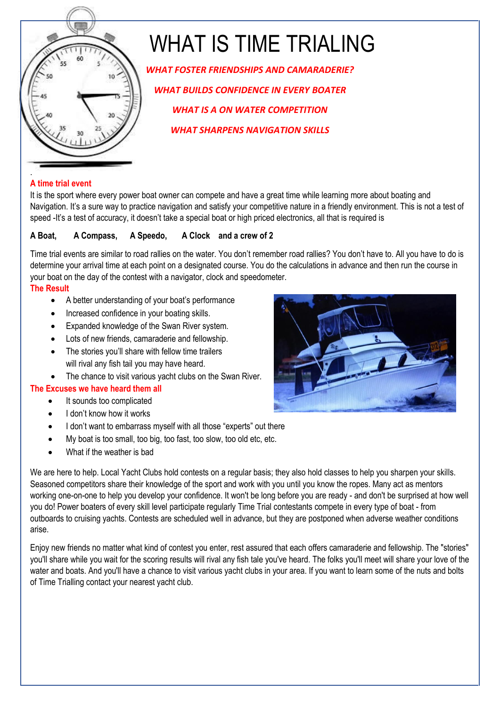

# WHAT IS TIME TRIALING

*WHAT FOSTER FRIENDSHIPS AND CAMARADERIE? WHAT BUILDS CONFIDENCE IN EVERY BOATER WHAT IS A ON WATER COMPETITION WHAT SHARPENS NAVIGATION SKILLS*

## **A time trial event**

It is the sport where every power boat owner can compete and have a great time while learning more about boating and Navigation. It's a sure way to practice navigation and satisfy your competitive nature in a friendly environment. This is not a test of speed -It's a test of accuracy, it doesn't take a special boat or high priced electronics, all that is required is

## **A Boat, A Compass, A Speedo, A Clock and a crew of 2**

Time trial events are similar to road rallies on the water. You don't remember road rallies? You don't have to. All you have to do is determine your arrival time at each point on a designated course. You do the calculations in advance and then run the course in your boat on the day of the contest with a navigator, clock and speedometer.

## **The Result**

- A better understanding of your boat's performance
- Increased confidence in your boating skills.
- Expanded knowledge of the Swan River system.
- Lots of new friends, camaraderie and fellowship.
- The stories you'll share with fellow time trailers will rival any fish tail you may have heard.
- The chance to visit various yacht clubs on the Swan River.

# **The Excuses we have heard them all**

- It sounds too complicated
- I don't know how it works
- I don't want to embarrass myself with all those "experts" out there
- My boat is too small, too big, too fast, too slow, too old etc, etc.
- What if the weather is bad

We are here to help. Local Yacht Clubs hold contests on a regular basis; they also hold classes to help you sharpen your skills. Seasoned competitors share their knowledge of the sport and work with you until you know the ropes. Many act as mentors working one-on-one to help you develop your confidence. It won't be long before you are ready - and don't be surprised at how well you do! Power boaters of every skill level participate regularly Time Trial contestants compete in every type of boat - from outboards to cruising yachts. Contests are scheduled well in advance, but they are postponed when adverse weather conditions arise.

Enjoy new friends no matter what kind of contest you enter, rest assured that each offers camaraderie and fellowship. The "stories" you'll share while you wait for the scoring results will rival any fish tale you've heard. The folks you'll meet will share your love of the water and boats. And you'll have a chance to visit various yacht clubs in your area. If you want to learn some of the nuts and bolts of Time Trialling contact your nearest yacht club.

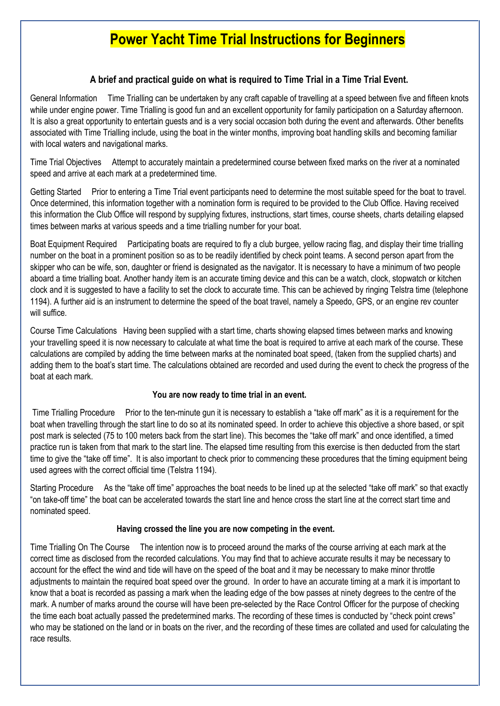# **Power Yacht Time Trial Instructions for Beginners**

#### **A brief and practical guide on what is required to Time Trial in a Time Trial Event.**

General Information Time Trialling can be undertaken by any craft capable of travelling at a speed between five and fifteen knots while under engine power. Time Trialling is good fun and an excellent opportunity for family participation on a Saturday afternoon. It is also a great opportunity to entertain guests and is a very social occasion both during the event and afterwards. Other benefits associated with Time Trialling include, using the boat in the winter months, improving boat handling skills and becoming familiar with local waters and navigational marks.

Time Trial Objectives Attempt to accurately maintain a predetermined course between fixed marks on the river at a nominated speed and arrive at each mark at a predetermined time.

Getting Started Prior to entering a Time Trial event participants need to determine the most suitable speed for the boat to travel. Once determined, this information together with a nomination form is required to be provided to the Club Office. Having received this information the Club Office will respond by supplying fixtures, instructions, start times, course sheets, charts detailing elapsed times between marks at various speeds and a time trialling number for your boat.

Boat Equipment Required Participating boats are required to fly a club burgee, yellow racing flag, and display their time trialling number on the boat in a prominent position so as to be readily identified by check point teams. A second person apart from the skipper who can be wife, son, daughter or friend is designated as the navigator. It is necessary to have a minimum of two people aboard a time trialling boat. Another handy item is an accurate timing device and this can be a watch, clock, stopwatch or kitchen clock and it is suggested to have a facility to set the clock to accurate time. This can be achieved by ringing Telstra time (telephone 1194). A further aid is an instrument to determine the speed of the boat travel, namely a Speedo, GPS, or an engine rev counter will suffice.

Course Time Calculations Having been supplied with a start time, charts showing elapsed times between marks and knowing your travelling speed it is now necessary to calculate at what time the boat is required to arrive at each mark of the course. These calculations are compiled by adding the time between marks at the nominated boat speed, (taken from the supplied charts) and adding them to the boat's start time. The calculations obtained are recorded and used during the event to check the progress of the boat at each mark.

#### **You are now ready to time trial in an event.**

 Time Trialling Procedure Prior to the ten-minute gun it is necessary to establish a "take off mark" as it is a requirement for the boat when travelling through the start line to do so at its nominated speed. In order to achieve this objective a shore based, or spit post mark is selected (75 to 100 meters back from the start line). This becomes the "take off mark" and once identified, a timed practice run is taken from that mark to the start line. The elapsed time resulting from this exercise is then deducted from the start time to give the "take off time". It is also important to check prior to commencing these procedures that the timing equipment being used agrees with the correct official time (Telstra 1194).

Starting Procedure As the "take off time" approaches the boat needs to be lined up at the selected "take off mark" so that exactly "on take-off time" the boat can be accelerated towards the start line and hence cross the start line at the correct start time and nominated speed.

#### **Having crossed the line you are now competing in the event.**

Time Trialling On The Course The intention now is to proceed around the marks of the course arriving at each mark at the correct time as disclosed from the recorded calculations. You may find that to achieve accurate results it may be necessary to account for the effect the wind and tide will have on the speed of the boat and it may be necessary to make minor throttle adjustments to maintain the required boat speed over the ground. In order to have an accurate timing at a mark it is important to know that a boat is recorded as passing a mark when the leading edge of the bow passes at ninety degrees to the centre of the mark. A number of marks around the course will have been pre-selected by the Race Control Officer for the purpose of checking the time each boat actually passed the predetermined marks. The recording of these times is conducted by "check point crews" who may be stationed on the land or in boats on the river, and the recording of these times are collated and used for calculating the race results.